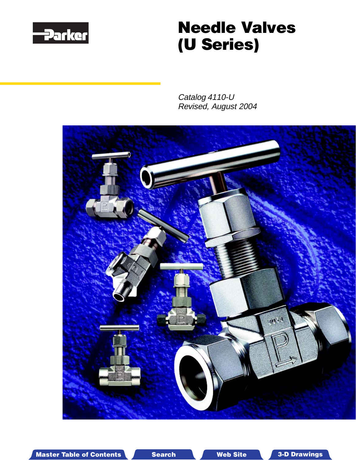<span id="page-0-0"></span>

# **Needle Valves (U Series)**

Catalog 4110-U Revised, August 2004



Master Table of Contents Search Web Site 3-D Drawings Search Master Table of Contents 3-D Drawings

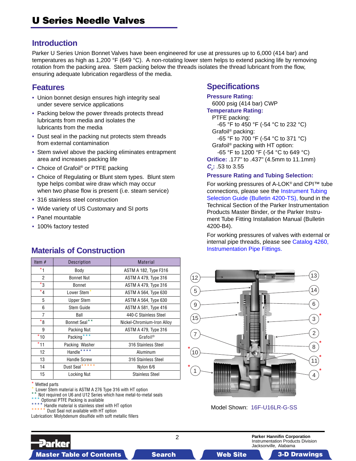## **Introduction**

Parker U Series Union Bonnet Valves have been engineered for use at pressures up to 6,000 (414 bar) and temperatures as high as 1,200 °F (649 °C). A non-rotating lower stem helps to extend packing life by removing rotation from the packing area. Stem packing below the threads isolates the thread lubricant from the flow, ensuring adequate lubrication regardless of the media.

## **Features**

- Union bonnet design ensures high integrity seal under severe service applications
- Packing below the power threads protects thread lubricants from media and isolates the lubricants from the media
- Dust seal in the packing nut protects stem threads from external contamination
- Stem swivel above the packing eliminates entrapment area and increases packing life
- Choice of Grafoil<sup>®</sup> or PTFE packing
- Choice of Regulating or Blunt stem types. Blunt stem type helps combat wire draw which may occur when two phase flow is present (i.e. steam service)
- 316 stainless steel construction

**Materials of Construction**

- Wide variety of US Customary and SI ports
- Panel mountable
- 100% factory tested

## Item # Description | Material \*1 Body ASTM A 182, Type F316 2 Bonnet Nut | ASTM A 479, Type 316 \*3 Bonnet ASTM A 479, Type 316  $^{\star}$ 4  $\qquad$  Lower Stem $^{\star}$   $\qquad$  ASTM A 564, Type 630

#### 5 | Upper Stem | ASTM A 564, Type 630 6 Stem Guide **ASTM A 581, Type 416** 7 Ball 440-C Stainless Steel  $*$ 8 | Bonnet Seal $^{\ast\,*}$  | Nickel-Chromium-Iron Alloy 9 | Packing Nut | ASTM A 479, Type 316 \*10 Packing\*\*\* Grafoil® \*11 Packing Washer 316 Stainless Steel 12 | Handle<sup>\*\*\*\*</sup> Aluminum 13 | Handle Screw | 316 Stainless Steel 14 Dust Seal<sup>\*\*\*\*\*</sup> 1 Nylon 6/6 15 | Locking Nut | Stainless Steel

Wetted parts

Lower Stem material is ASTM A 276 Type 316 with HT option

- Not required on U6 and U12 Series which have metal-to-metal seals
- Optional PTFE Packing is available

7arker

Handle material is stainless steel with HT option

Dust Seal not available with HT option

Lubrication: Molybdenum disulfide with soft metallic fillers

## **Specifications**

**Pressure Rating:** 6000 psig (414 bar) CWP **Temperature Rating:** PTFE packing: -65 °F to 450 °F (-54 °C to 232 °C) Grafoil® packing: -65 °F to 700 °F (-54 °C to 371 °C) Grafoil® packing with HT option: -65 °F to 1200 °F (-54 °C to 649 °C) **Orifice:** .177" to .437" (4.5mm to 11.1mm) **Cv :** .53 to 3.55

#### **Pressure Rating and Tubing Selection:**

For working pressures of A-LOK® and CPI™ tube connections, please see the Instrument Tubing [Selection Guide \(Bulletin 4200-TS\), found in the](#page-0-0) Technical Section of the Parker Instrumentation Products Master Binder, or the Parker Instrument Tube Fitting Installation Manual (Bulletin 4200-B4).

For working pressures of valves with external or [internal pipe threads, please see Catalog 4260,](#page-0-0) Instrumentation Pipe Fittings.



Model Shown: 16F-U16LR-G-SS

2 **Parker Hannifin Corporation** Instrumentation Products Division Jacksonville, Alabama

Master Table of Contents **Master Table of Contents 3-D Drawings Search Master T Web Site able of Contents 3-D Drawings**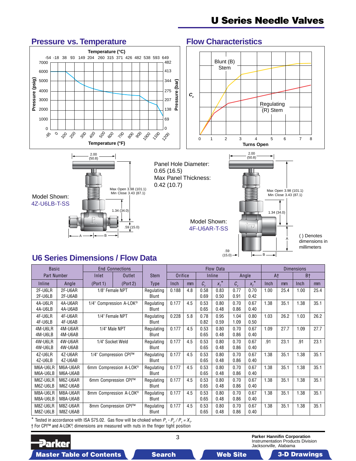## **U Series Needle Valves**

## **Pressure vs. Temperature Flow Characteristics**





B

ŀ.

A

dimensions in millimeters

.59 (15.0)

## **U6 Series Dimensions / Flow Data**

B

.59 (15.0)

A

| <b>Basic</b>         |                      | <b>End Connections</b>              |          |                            | Flow Data |                |                   |               |              |               |                | <b>Dimensions</b> |                |      |  |
|----------------------|----------------------|-------------------------------------|----------|----------------------------|-----------|----------------|-------------------|---------------|--------------|---------------|----------------|-------------------|----------------|------|--|
| <b>Part Number</b>   |                      | Inlet                               | Outlet   |                            | Orifice   |                | Inline            |               | Angle        |               | A <sup>+</sup> |                   | B <sup>+</sup> |      |  |
| Inline               | Angle                | (Port 1)                            | (Port 2) | <b>Type</b>                | Inch      | m <sub>m</sub> | $\mathcal{C}_{v}$ | $X_T^{\star}$ | $C_{\rm v}$  | $X_T^{\star}$ | Inch           | m <sub>m</sub>    | Inch           | mm   |  |
| 2F-U6LR<br>2F-U6LB   | 2F-U6AR<br>2F-U6AB   | 1/8" Female NPT                     |          | Regulating<br><b>Blunt</b> | 0.188     | 4.8            | 0.58<br>0.69      | 0.83<br>0.50  | 0.77<br>0.91 | 0.70<br>0.42  | 1.00           | 25.4              | 1.00           | 25.4 |  |
| 4A-U6LR<br>4A-U6LB   | 4A-U6AR<br>4A-U6AB   | 1/4" Compression A-LOK <sup>®</sup> |          | Regulating<br><b>Blunt</b> | 0.177     | 4.5            | 0.53<br>0.65      | 0.80<br>0.48  | 0.70<br>0.86 | 0.67<br>0.40  | 1.38           | 35.1              | 1.38           | 35.1 |  |
| 4F-U6LR<br>4F-U6LB   | 4F-U6AR<br>4F-U6AB   | 1/4" Female NPT                     |          | Regulating<br>Blunt        | 0.228     | 5.8            | 0.78<br>0.82      | 0.95<br>0.59  | 1.04<br>1.09 | 0.80<br>0.50  | 1.03           | 26.2              | 1.03           | 26.2 |  |
| 4M-U6LR<br>4M-U6LB   | 4M-U6AR<br>4M-U6AB   | 1/4" Male NPT                       |          | Regulating<br>Blunt        | 0.177     | 4.5            | 0.53<br>0.65      | 0.80<br>0.48  | 0.70<br>0.86 | 0.67<br>0.40  | 1.09           | 27.7              | 1.09           | 27.7 |  |
| 4W-U6LR<br>4W-U6LB   | 4W-U6AR<br>4W-U6AB   | 1/4" Socket Weld                    |          | Regulating<br><b>Blunt</b> | 0.177     | 4.5            | 0.53<br>0.65      | 0.80<br>0.48  | 0.70<br>0.86 | 0.67<br>0.40  | .91            | 23.1              | .91            | 23.1 |  |
| 4Z-U6LR<br>4Z-U6LB   | 4Z-U6AR<br>4Z-U6AB   | 1/4" Compression CPI™               |          | Regulating<br>Blunt        | 0.177     | 4.5            | 0.53<br>0.65      | 0.80<br>0.48  | 0.70<br>0.86 | 0.67<br>0.40  | 1.38           | 35.1              | 1.38           | 35.1 |  |
| M6A-U6LR<br>M6A-U6LB | M6A-U6AR<br>M6A-U6AB | 6mm Compression A-LOK®              |          | Regulating<br><b>Blunt</b> | 0.177     | 4.5            | 0.53<br>0.65      | 0.80<br>0.48  | 0.70<br>0.86 | 0.67<br>0.40  | 1.38           | 35.1              | 1.38           | 35.1 |  |
| M6Z-U6LR<br>M6Z-U6LB | M6Z-U6AR<br>M6Z-U6AB | 6mm Compression CPI™                |          | Regulating<br>Blunt        | 0.177     | 4.5            | 0.53<br>0.65      | 0.80<br>0.48  | 0.70<br>0.86 | 0.67<br>0.40  | 1.38           | 35.1              | 1.38           | 35.1 |  |
| M8A-U6LR<br>M8A-U6LB | M8A-U6AR<br>M8A-U6AB | 8mm Compression A-LOK <sup>®</sup>  |          | Regulating<br>Blunt        | 0.177     | 4.5            | 0.53<br>0.65      | 0.80<br>0.48  | 0.70<br>0.86 | 0.67<br>0.40  | 1.38           | 35.1              | 1.38           | 35.1 |  |
| M8Z-U6LR<br>M8Z-U6LB | M8Z-U6AR<br>M8Z-U6AB | 8mm Compression CPI™                |          | Regulating<br>Blunt        | 0.177     | 4.5            | 0.53<br>0.65      | 0.80<br>0.48  | 0.70<br>0.86 | 0.67<br>0.40  | 1.38           | 35.1              | 1.38           | 35.1 |  |

\* Tested in accordance with ISA S75.02. Gas flow will be choked when  $P_1 - P_2 / P_1 = X_T$ † For CPI™ and A-LOK®, dimensions are measured with nuts in the finger tight position

**Parker** 

3 **Parker Hannifin Corporation** Instrumentation Products Division Jacksonville, Alabama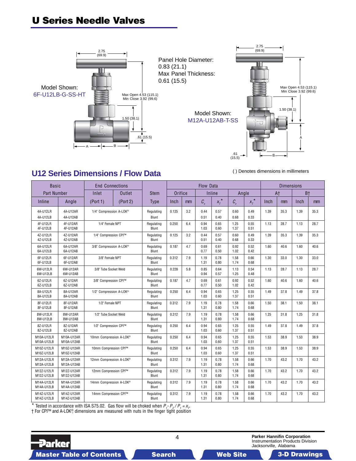## **U Series Needle Valves**





( ) Denotes dimensions in millimeters

## **U12 Series Dimensions / Flow Data**

| <b>Basic</b>             |                          | <b>End Connections</b>  |               |                            | Flow Data |     |                   |               |              |               |      |                | <b>Dimensions</b> |                |  |  |
|--------------------------|--------------------------|-------------------------|---------------|----------------------------|-----------|-----|-------------------|---------------|--------------|---------------|------|----------------|-------------------|----------------|--|--|
| <b>Part Number</b>       |                          | Inlet                   | <b>Outlet</b> | <b>Stem</b>                | Orifice   |     |                   | Inline        | Angle        |               |      | A <sup>+</sup> | B <sup>+</sup>    |                |  |  |
| Inline                   | Angle                    | (Port 1)                | (Port 2)      | <b>Type</b>                | Inch      | mm  | $\mathcal{C}_{v}$ | $X_T^{\star}$ | $C_{v}$      | $x_t^{\star}$ | Inch | mm             | Inch              | m <sub>m</sub> |  |  |
| 4A-U12LR<br>4A-U12LB     | 4A-U12AR<br>4A-U12AB     | 1/4" Compression A-LOK® |               | Regulating<br><b>Blunt</b> | 0.125     | 3.2 | 0.44<br>0.51      | 0.57<br>0.40  | 0.60<br>0.68 | 0.49<br>0.33  | 1.39 | 35.3           | 1.39              | 35.3           |  |  |
| 4F-U12LR<br>4F-U12LB     | 4F-U12AR<br>4F-U12AB     | 1/4" Female NPT         |               | Regulating<br><b>Blunt</b> | 0.250     | 6.4 | 0.94<br>1.03      | 0.65<br>0.60  | 1.25<br>1.37 | 0.55<br>0.51  | 1.13 | 28.7           | 1.13              | 28.7           |  |  |
| 4Z-U12LR<br>4Z-U12LB     | 4Z-U12AR<br>4Z-U12AB     | 1/4" Compression CPI™   |               | Regulating<br><b>Blunt</b> | 0.125     | 3.2 | 0.44<br>0.51      | 0.57<br>0.40  | 0.60<br>0.68 | 0.49<br>0.33  | 1.39 | 35.3           | 1.39              | 35.3           |  |  |
| 6A-U12LR<br>6A-U12LB     | 6A-U12AR<br>6A-U12AB     | 3/8" Compression A-LOK® |               | Regulating<br><b>Blunt</b> | 0.187     | 4.7 | 0.69<br>0.77      | 0.61<br>0.50  | 0.92<br>1.02 | 0.52<br>0.42  | 1.60 | 40.6           | 1.60              | 40.6           |  |  |
| 6F-U12LR<br>6F-U12LB     | 6F-U12AR<br>6F-U12AB     | 3/8" Female NPT         |               | Regulating<br>Blunt        | 0.312     | 7.9 | 1.19<br>1.31      | 0.78<br>0.80  | 1.58<br>1.74 | 0.66<br>0.68  | 1.30 | 33.0           | 1.30              | 33.0           |  |  |
| 6W-U12LR<br>6W-U12LB     | 6W-U12AR<br>6W-U12AB     | 3/8" Tube Socket Weld   |               | Regulating<br>Blunt        | 0.228     | 5.8 | 0.85<br>0.94      | 0.64<br>0.57  | 1.13<br>1.25 | 0.54<br>0.48  | 1.13 | 28.7           | 1.13              | 28.7           |  |  |
| 6Z-U12LR<br>6Z-U12LB     | 6Z-U12AR<br>6Z-U12AB     | 3/8" Compression CPI™   |               | Regulating<br><b>Blunt</b> | 0.187     | 4.7 | 0.69<br>0.77      | 0.61<br>0.50  | 0.92<br>1.02 | 0.52<br>0.42  | 1.60 | 40.6           | 1.60              | 40.6           |  |  |
| 8A-U12LR<br>8A-U12LB     | 8A-U12AR<br>8A-U12AB     | 1/2" Compression A-LOK® |               | Regulating<br>Blunt        | 0.250     | 6.4 | 0.94<br>1.03      | 0.65<br>0.60  | 1.25<br>1.37 | 0.55<br>0.51  | 1.49 | 37.8           | 1.49              | 37.8           |  |  |
| 8F-U12LR<br>8F-U12LB     | 8F-U12AR<br>8F-U12AB     | 1/2" Female NPT         |               | Regulating<br><b>Blunt</b> | 0.312     | 7.9 | 1.19<br>1.31      | 0.78<br>0.80  | 1.58<br>1.74 | 0.66<br>0.68  | 1.50 | 38.1           | 1.50              | 38.1           |  |  |
| 8W-U12LR<br>8W-U12LB     | 8W-U12AR<br>8W-U12AB     | 1/2" Tube Socket Weld   |               | Regulating<br>Blunt        | 0.312     | 7.9 | 1.19<br>1.31      | 0.78<br>0.80  | 1.58<br>1.74 | 0.66<br>0.68  | 1.25 | 31.8           | 1.25              | 31.8           |  |  |
| 8Z-U12LR<br>8Z-U12LB     | 8Z-U12AR<br>8Z-U12AB     | 1/2" Compression CPI™   |               | Regulating<br>Blunt        | 0.250     | 6.4 | 0.94<br>1.03      | 0.65<br>0.60  | 1.25<br>1.37 | 0.55<br>0.51  | 1.49 | 37.8           | 1.49              | 37.8           |  |  |
| M10A-U12LR<br>M10A-U12LB | M10A-U12AR<br>M10A-U12AB | 10mm Compression A-LOK® |               | Regulating<br><b>Blunt</b> | 0.250     | 6.4 | 0.94<br>1.03      | 0.65<br>0.60  | 1.25<br>1.37 | 0.55<br>0.51  | 1.53 | 38.9           | 1.53              | 38.9           |  |  |
| M10Z-U12LR<br>M10Z-U12LB | M10Z-U12AR<br>M10Z-U12AB | 10mm Compression CPI™   |               | Regulating<br>Blunt        | 0.250     | 6.4 | 0.94<br>1.03      | 0.65<br>0.60  | 1.25<br>1.37 | 0.55<br>0.51  | 1.53 | 38.9           | 1.53              | 38.9           |  |  |
| M12A-U12LR<br>M12A-U12LB | M12A-U12AR<br>M12A-U12AB | 12mm Compression A-LOK® |               | Regulating<br><b>Blunt</b> | 0.312     | 7.9 | 1.19<br>1.31      | 0.78<br>0.80  | 1.58<br>1.74 | 0.66<br>0.68  | 1.70 | 43.2           | 1.70              | 43.2           |  |  |
| M12Z-U12LR<br>M12Z-U12LB | M12Z-U12AR<br>M12Z-U12AB | 12mm Compression CPI™   |               | Regulating<br>Blunt        | 0.312     | 7.9 | 1.19<br>1.31      | 0.78<br>0.80  | 1.58<br>1.74 | 0.66<br>0.68  | 1.70 | 43.2           | 1.70              | 43.2           |  |  |
| M14A-U12LR<br>M14A-U12LB | M14A-U12AR<br>M14A-U12AB | 14mm Compression A-LOK® |               | Regulating<br>Blunt        | 0.312     | 7.9 | 1.19<br>1.31      | 0.78<br>0.80  | 1.58<br>1.74 | 0.66<br>0.68  | 1.70 | 43.2           | 1.70              | 43.2           |  |  |
| M14Z-U12LR<br>M14Z-U12LB | M14Z-U12AR<br>M14Z-U12AB | 14mm Compression CPI™   |               | Regulating<br>Blunt        | 0.312     | 7.9 | 1.19<br>1.31      | 0.78<br>0.80  | 1.58<br>1.74 | 0.66<br>0.68  | 1.70 | 43.2           | 1.70              | 43.2           |  |  |

\* Tested in accordance with ISA S75.02. Gas flow will be choked when  $P_1$ - $P_2$ / $P_1$  =  $x_r$ 

† For CPI™ and A-LOK®, dimensions are measured with nuts in the finger tight position

**Parker** 

Master Table of Contents **3. Dearch Master Table of Contents 3-D Drawings 3-D Drawings 3-D Drawings 3-D Drawings**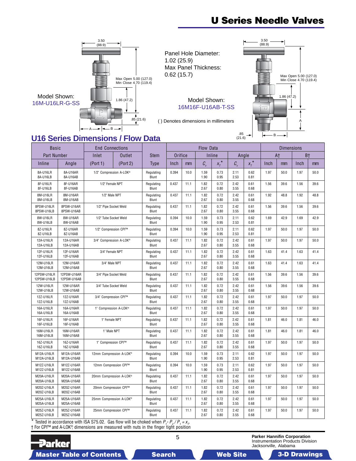## **U Series Needle Valves**



Panel Hole Diameter: 1.02 (25.9) Max Panel Thickness: 0.62 (15.7)



( ) Denotes dimensions in millimeters



## **U16 Series Dimensions / Flow Data**

| <b>Basic</b>               |                            | <b>End Connections</b>  |               |                     |         |      | Flow Data    |                      |              |                    | <b>Dimensions</b> |      |                |      |
|----------------------------|----------------------------|-------------------------|---------------|---------------------|---------|------|--------------|----------------------|--------------|--------------------|-------------------|------|----------------|------|
| <b>Part Number</b>         |                            | Inlet                   | <b>Outlet</b> | <b>Stem</b>         | Orifice |      |              | Inline               | Angle        |                    | A <sup>+</sup>    |      | B <sup>+</sup> |      |
| Inline                     | Angle                      | (Port 1)                | (Port 2)      | <b>Type</b>         | Inch    | mm   | $C_{v}$      | $x_{\tau}^{\;\star}$ | $C_{v}$      | $x^{\star}_{\tau}$ | Inch              | mm   | Inch           | mm   |
| 8A-U16LR<br>8A-U16LB       | 8A-U16AR<br>8A-U16AB       | 1/2" Compression A-LOK® |               | Regulating<br>Blunt | 0.394   | 10.0 | 1.59<br>1.90 | 0.73<br>0.95         | 2.11<br>2.53 | 0.62<br>0.81       | 1.97              | 50.0 | 1.97           | 50.0 |
| 8F-U16LR<br>8F-U16LB       | 8F-U16AR<br>8F-U16AB       | 1/2" Female NPT         |               | Regulating<br>Blunt | 0.437   | 11.1 | 1.82<br>2.67 | 0.72<br>0.80         | 2.42<br>3.55 | 0.61<br>0.68       | 1.56              | 39.6 | 1.56           | 39.6 |
| 8M-U16LR<br>8M-U16LB       | 8M-U16AR<br>8M-U16AB       | 1/2" Male NPT           |               | Regulating<br>Blunt | 0.437   | 11.1 | 1.82<br>2.67 | 0.72<br>0.80         | 2.42<br>3.55 | 0.61<br>0.68       | 1.92              | 48.8 | 1.92           | 48.8 |
| 8PSW-U16LR<br>8PSW-U16LB   | 8PSW-U16AR<br>8PSW-U16AB   | 1/2" Pipe Socket Weld   |               | Regulating<br>Blunt | 0.437   | 11.1 | 1.82<br>2.67 | 0.72<br>0.80         | 2.42<br>3.55 | 0.61<br>0.68       | 1.56              | 39.6 | 1.56           | 39.6 |
| 8W-U16LR<br>8W-U16LB       | 8W-U16AR<br>8W-U16AB       | 1/2" Tube Socket Weld   |               | Regulating<br>Blunt | 0.394   | 10.0 | 1.59<br>1.90 | 0.73<br>0.95         | 2.11<br>2.53 | 0.62<br>0.81       | 1.69              | 42.9 | 1.69           | 42.9 |
| 8Z-U16LR<br>8Z-U16LB       | 8Z-U16AR<br>8Z-U16AB       | 1/2" Compression CPI™   |               | Regulating<br>Blunt | 0.394   | 10.0 | 1.59<br>1.90 | 0.73<br>0.95         | 2.11<br>2.53 | 0.62<br>0.81       | 1.97              | 50.0 | 1.97           | 50.0 |
| 12A-U16LR<br>12A-U16LB     | 12A-U16AR<br>12A-U16AB     | 3/4" Compression A-LOK® |               | Regulating<br>Blunt | 0.437   | 11.1 | 1.82<br>2.67 | 0.72<br>0.80         | 2.42<br>3.55 | 0.61<br>0.68       | 1.97              | 50.0 | 1.97           | 50.0 |
| 12F-U16LR<br>12F-U16LB     | 12F-U16AR<br>12F-U16AB     | 3/4" Female NPT         |               | Regulating<br>Blunt | 0.437   | 11.1 | 1.82<br>2.67 | 0.72<br>0.80         | 2.42<br>3.55 | 0.61<br>0.68       | 1.63              | 41.4 | 1.63           | 41.4 |
| 12M-U16LR<br>12M-U16LB     | 12M-U16AR<br>12M-U16AB     | 3/4" Male NPT           |               | Regulating<br>Blunt | 0.437   | 11.1 | 1.82<br>2.67 | 0.72<br>0.80         | 2.42<br>3.55 | 0.61<br>0.68       | 1.63              | 41.4 | 1.63           | 41.4 |
| 12PSW-U16LR<br>12PSW-U16LB | 12PSW-U16AR<br>12PSW-U16AB | 3/4" Pipe Socket Weld   |               | Regulating<br>Blunt | 0.437   | 11.1 | 1.82<br>2.67 | 0.72<br>0.80         | 2.42<br>3.55 | 0.61<br>0.68       | 1.56              | 39.6 | 1.56           | 39.6 |
| 12W-U16LR<br>12W-U16LB     | 12W-U16AR<br>12W-U16AB     | 3/4" Tube Socket Weld   |               | Regulating<br>Blunt | 0.437   | 11.1 | 1.82<br>2.67 | 0.72<br>0.80         | 2.42<br>3.55 | 0.61<br>0.68       | 1.56              | 39.6 | 1.56           | 39.6 |
| 12Z-U16LR<br>12Z-U16LB     | 12Z-U16AR<br>12Z-U16AB     | 3/4" Compression CPI™   |               | Regulating<br>Blunt | 0.437   | 11.1 | 1.82<br>2.67 | 0.72<br>0.80         | 2.42<br>3.55 | 0.61<br>0.68       | 1.97              | 50.0 | 1.97           | 50.0 |
| 16A-U16LR<br>16A-U16LB     | 16A-U16AR<br>16A-U16AB     | 1" Compression A-LOK®   |               | Regulating<br>Blunt | 0.437   | 11.1 | 1.82<br>2.67 | 0.72<br>0.80         | 2.42<br>3.55 | 0.61<br>0.68       | 1.97              | 50.0 | 1.97           | 50.0 |
| 16F-U16LR<br>16F-U16LB     | 16F-U16AR<br>16F-U16AB     | 1" Female NPT           |               | Regulating<br>Blunt | 0.437   | 11.1 | 1.82<br>2.67 | 0.72<br>0.80         | 2.42<br>3.55 | 0.61<br>0.68       | 1.81              | 46.0 | 1.81           | 46.0 |
| 16M-U16LR<br>16M-U16LB     | 16M-U16AR<br>16M-U16AB     | 1" Male NPT             |               | Regulating<br>Blunt | 0.437   | 11.1 | 1.82<br>2.67 | 0.72<br>0.80         | 2.42<br>3.55 | 0.61<br>0.68       | 1.81              | 46.0 | 1.81           | 46.0 |
| 16Z-U16LR<br>16Z-U16LB     | 16Z-U16AR<br>16Z-U16AB     | 1" Compression CPI™     |               | Regulating<br>Blunt | 0.437   | 11.1 | 1.82<br>2.67 | 0.72<br>0.80         | 2.42<br>3.55 | 0.61<br>0.68       | 1.97              | 50.0 | 1.97           | 50.0 |
| M12A-U16LR<br>M12A-U16LB   | M12A-U16AR<br>M12A-U16AB   | 12mm Compression A-LOK® |               | Regulating<br>Blunt | 0.394   | 10.0 | 1.59<br>1.90 | 0.73<br>0.95         | 2.11<br>2.53 | 0.62<br>0.81       | 1.97              | 50.0 | 1.97           | 50.0 |
| M12Z-U16LR<br>M12Z-U16LB   | M12Z-U16AR<br>M12Z-U16AB   | 12mm Compression CPI™   |               | Regulating<br>Blunt | 0.394   | 10.0 | 1.59<br>1.90 | 0.73<br>0.95         | 2.11<br>2.53 | 0.62<br>0.81       | 1.97              | 50.0 | 1.97           | 50.0 |
| M20A-U16LR<br>M20A-U16LB   | M20A-U16AR<br>M20A-U16AB   | 20mm Compression A-LOK® |               | Regulating<br>Blunt | 0.437   | 11.1 | 1.82<br>2.67 | 0.72<br>0.80         | 2.42<br>3.55 | 0.61<br>0.68       | 1.97              | 50.0 | 1.97           | 50.0 |
| M20Z-U16LR<br>M20Z-U16LB   | M20Z-U16AR<br>M20Z-U16AB   | 20mm Compression CPI™   |               | Regulating<br>Blunt | 0.437   | 11.1 | 1.82<br>2.67 | 0.72<br>0.80         | 2.42<br>3.55 | 0.61<br>0.68       | 1.97              | 50.0 | 1.97           | 50.0 |
| M25A-U16LR<br>M25A-U16LB   | M25A-U16AR<br>M25A-U16AB   | 25mm Compression A-LOK® |               | Regulating<br>Blunt | 0.437   | 11.1 | 1.82<br>2.67 | 0.72<br>0.80         | 2.42<br>3.55 | 0.61<br>0.68       | 1.97              | 50.0 | 1.97           | 50.0 |
| M25Z-U16LR<br>M25Z-U16LB   | M25Z-U16AR<br>M25Z-U16AB   | 25mm Compression CPI™   |               | Regulating<br>Blunt | 0.437   | 11.1 | 1.82<br>2.67 | 0.72<br>0.80         | 2.42<br>3.55 | 0.61<br>0.68       | 1.97              | 50.0 | 1.97           | 50.0 |

\* Tested in accordance with ISA S75.02. Gas flow will be choked when  $P_1$ - $P_2$ / $P_1$  =  $x_r$ † For CPI™ and A-LOK®, dimensions are measured with nuts in the finger tight position

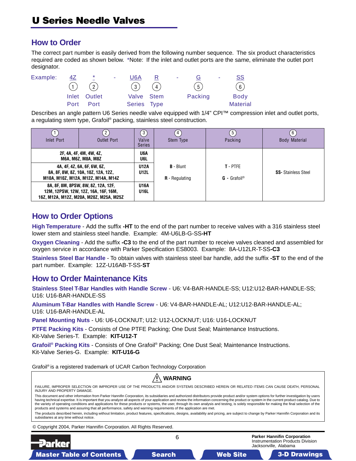## **How to Order**

The correct part number is easily derived from the following number sequence. The six product characteristics required are coded as shown below. \*Note: If the inlet and outlet ports are the same, eliminate the outlet port designator.



Describes an angle pattern U6 Series needle valve equipped with 1/4" CPI™ compression inlet and outlet ports, a regulating stem type, Grafoil® packing, stainless steel construction.

| Inlet Port                                                                                                             | 2<br><b>Outlet Port</b>                                                                                                                                          |                                          | Stem Type                       | 5<br>Packing                           | 6<br><b>Body Material</b>  |  |  |
|------------------------------------------------------------------------------------------------------------------------|------------------------------------------------------------------------------------------------------------------------------------------------------------------|------------------------------------------|---------------------------------|----------------------------------------|----------------------------|--|--|
|                                                                                                                        | 2F, 4A, 4F, 4M, 4W, 4Z,<br><b>M6A, M6Z, M8A, M8Z</b><br>4A, 4F, 4Z, 6A, 6F, 6W, 6Z,<br>8A, 8F, 8W, 8Z, 10A, 10Z, 12A, 12Z,<br>M10A, M10Z, M12A, M12Z, M14A, M14Z | U6A<br>U6L<br><b>U12A</b><br><b>U12L</b> | $B - Blunt$<br>$R$ - Regulating | T - PTFE<br>$G -$ Grafoil <sup>®</sup> | <b>SS-</b> Stainless Steel |  |  |
| 8A, 8F, 8M, 8PSW, 8W, 8Z, 12A, 12F,<br>12M, 12PSW, 12W, 12Z, 16A, 16F, 16M,<br>16Z, M12A, M12Z, M20A, M20Z, M25A, M25Z |                                                                                                                                                                  | <b>U16A</b><br><b>U16L</b>               |                                 |                                        |                            |  |  |

## **How to Order Options**

**High Temperature** - Add the suffix **-HT** to the end of the part number to receive valves with a 316 stainless steel lower stem and stainless steel handle. Example: 4M-U6LB-G-SS**-HT**

**Oxygen Cleaning** - Add the suffix **-C3** to the end of the part number to receive valves cleaned and assembled for oxygen service in accordance with Parker Specification ES8003. Example: 8A-U12LR-T-SS**-C3**

**Stainless Steel Bar Handle** - To obtain valves with stainless steel bar handle, add the suffix **-ST** to the end of the part number. Example: 12Z-U16AB-T-SS-**ST**

## **How to Order Maintenance Kits**

**Stainless Steel T-Bar Handles with Handle Screw** - U6: V4-BAR-HANDLE-SS; U12:U12-BAR-HANDLE-SS; U16: U16-BAR-HANDLE-SS

**Aluminum T-Bar Handles with Handle Screw** - U6: V4-BAR-HANDLE-AL; U12:U12-BAR-HANDLE-AL; U16: U16-BAR-HANDLE-AL

**Panel Mounting Nuts** - U6: U6-LOCKNUT; U12: U12-LOCKNUT; U16: U16-LOCKNUT

**PTFE Packing Kits** - Consists of One PTFE Packing; One Dust Seal; Maintenance Instructions. Kit-Valve Series-T. Example: **KIT-U12-T**

**Grafoil® Packing Kits** - Consists of One Grafoil® Packing; One Dust Seal; Maintenance Instructions. Kit-Valve Series-G. Example: **KIT-U16-G**

Grafoil® is a registered trademark of UCAR Carbon Technology Corporation

| <b>WARNING</b>                                                                                                                                                                                                                                                                                                                                                                                                                                                                                                                                                                                                                                                                                                                                                                                                                                                                                                             |   |                                                                                                  |  |  |  |  |  |  |  |
|----------------------------------------------------------------------------------------------------------------------------------------------------------------------------------------------------------------------------------------------------------------------------------------------------------------------------------------------------------------------------------------------------------------------------------------------------------------------------------------------------------------------------------------------------------------------------------------------------------------------------------------------------------------------------------------------------------------------------------------------------------------------------------------------------------------------------------------------------------------------------------------------------------------------------|---|--------------------------------------------------------------------------------------------------|--|--|--|--|--|--|--|
| FAILURE, IMPROPER SELECTION OR IMPROPER USE OF THE PRODUCTS AND/OR SYSTEMS DESCRIBED HEREIN OR RELATED ITEMS CAN CAUSE DEATH, PERSONAL<br>INJURY AND PROPERTY DAMAGE.                                                                                                                                                                                                                                                                                                                                                                                                                                                                                                                                                                                                                                                                                                                                                      |   |                                                                                                  |  |  |  |  |  |  |  |
| This document and other information from Parker Hannifin Corporation, its subsidiaries and authorized distributors provide product and/or system options for further investigation by users<br>having technical expertise. It is important that you analyze all aspects of your application and review the information concerning the product or system in the current product catalog. Due to<br>the variety of operating conditions and applications for these products or systems, the user, through its own analysis and testing, is solely responsible for making the final selection of the<br>products and systems and assuring that all performance, safety and warning requirements of the application are met.<br>The products described herein, including without limitation, product features, specifications, designs, availability and pricing, are subject to change by Parker Hannifin Corporation and its |   |                                                                                                  |  |  |  |  |  |  |  |
| subsidiaries at any time without notice.<br>© Copyright 2004, Parker Hannifin Corporation. All Rights Reserved.                                                                                                                                                                                                                                                                                                                                                                                                                                                                                                                                                                                                                                                                                                                                                                                                            |   |                                                                                                  |  |  |  |  |  |  |  |
|                                                                                                                                                                                                                                                                                                                                                                                                                                                                                                                                                                                                                                                                                                                                                                                                                                                                                                                            |   |                                                                                                  |  |  |  |  |  |  |  |
| <b>Example:</b>                                                                                                                                                                                                                                                                                                                                                                                                                                                                                                                                                                                                                                                                                                                                                                                                                                                                                                            | 6 | <b>Parker Hannifin Corporation</b><br>Instrumentation Products Division<br>Jacksonville, Alabama |  |  |  |  |  |  |  |

Master Table of Contents **3. Dearch Master Table of Contents 3-D Drawings Search** Master Table of Contents 3-D Drawings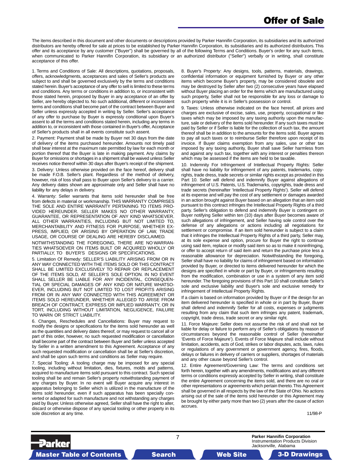The items described in this document and other documents or descriptions provided by Parker Hannifin Corporation, its subsidiaries and its authorized distributors are hereby offered for sale at prices to be established by Parker Hannifin Corporation, its subsidiaries and its authorized distributors. This offer and its acceptance by any customer ("Buyer") shall be governed by all of the following Terms and Conditions. Buyer's order for any such items, when communicated to Parker Hannifin Corporation, its subsidiary or an authorized distributor ("Seller") verbally or in writing, shall constitute acceptance of this offer.

1. Terms and Conditions of Sale: All descriptions, quotations, proposals, offers, acknowledgments, acceptances and sales of Seller's products are subject to and shall be governed exclusively by the terms and conditions stated herein. Buyer's acceptance of any offer to sell is limited to these terms and conditions. Any terms or conditions in addition to, or inconsistent with those stated herein, proposed by Buyer in any acceptance of an offer by Seller, are hereby objected to. No such additional, different or inconsistent terms and conditions shall become part of the contract between Buyer and Seller unless expressly accepted in writing by Seller. Seller's acceptance of any offer to purchase by Buyer is expressly conditional upon Buyer's assent to all the terms and conditions stated herein, including any terms in addition to, or inconsistent with those contained in Buyer's offer, Acceptance of Seller's products shall in all events constitute such assent.

2. Payment: Payment shall be made by Buyer net 30 days from the date of delivery of the items purchased hereunder. Amounts not timely paid shall bear interest at the maximum rate permitted by law for each month or portion thereof that the Buyer is late in making payment. Any claims by Buyer for omissions or shortages in a shipment shall be waived unless Seller receives notice thereof within 30 days after Buyer's receipt of the shipment.

3. Delivery: Unless otherwise provided on the face hereof, delivery shall be made F.O.B. Seller's plant. Regardless of the method of delivery, however, risk of loss shall pass to Buyer upon Seller's delivery to a carrier. Any delivery dates shown are approximate only and Seller shall have no liability for any delays in delivery.

4. Warranty: Seller warrants that items sold hereunder shall be free from defects in material or workmanship. THIS WARRANTY COMPRISES THE SOLE AND ENTIRE WARRANTY PERTAINING TO ITEMS PRO-VIDED HEREUNDER. SELLER MAKES NO OTHER WARRANTY, GUARANTEE, OR REPRESENTATION OF ANY KIND WHATSOEVER. ALL OTHER WARRANTIES, INCLUDING BUT NOT LIMITED TO, MERCHANTABILITY AND FITNESS FOR PURPOSE, WHETHER EX-PRESS, IMPLIED, OR ARISING BY OPERATION OF LAW, TRADE USAGE, OR COURSE OF DEALING ARE HEREBY DISCLAIMED.

NOTWITHSTANDING THE FOREGOING, THERE ARE NO WARRAN-TIES WHATSOEVER ON ITEMS BUILT OR ACQUIRED WHOLLY OR PARTIALLY, TO BUYER'S DESIGNS OR SPECIFICATIONS.

5. Limitation Of Remedy: SELLER'S LIABILITY ARISING FROM OR IN ANY WAY CONNECTED WITH THE ITEMS SOLD OR THIS CONTRACT SHALL BE LIMITED EXCLUSIVELY TO REPAIR OR REPLACEMENT OF THE ITEMS SOLD, AT SELLER'S SOLE OPTION. IN NO EVENT SHALL SELLER BE LIABLE FOR ANY INCIDENTAL, CONSEQUEN-TIAL OR SPECIAL DAMAGES OF ANY KIND OR NATURE WHATSO-EVER, INCLUDING BUT NOT LIMITED TO LOST PROFITS ARISING FROM OR IN ANY WAY CONNECTED WITH THIS AGREEMENT OR ITEMS SOLD HEREUNDER, WHETHER ALLEGED TO ARISE FROM BREACH OF CONTRACT, EXPRESS OR IMPLIED WARRANTY, OR IN TORT, INCLUDING WITHOUT LIMITATION, NEGLIGENCE, FAILURE TO WARN OR STRICT LIABILITY.

6. Changes, Reschedules and Cancellations: Buyer may request to modify the designs or specifications for the items sold hereunder as well as the quantities and delivery dates thereof, or may request to cancel all or part of this order, however, no such requested modification or cancellation shall become part of the contract between Buyer and Seller unless accepted by Seller in a written amendment to this Agreement. Acceptance of any such requested modification or cancellation shall be at Seller's discretion, and shall be upon such terms and conditions as Seller may require.

7. Special Tooling: A tooling charge may be imposed for any special tooling, including without limitation, dies, fixtures, molds and patterns, acquired to manufacture items sold pursuant to this contract. Such special tooling shall be and remain Seller's property notwithstanding payment of any charges by Buyer. In no event will Buyer acquire any interest in apparatus belonging to Seller which is utilized in the manufacture of the items sold hereunder, even if such apparatus has been specially converted or adapted for such manufacture and not withstanding any charges paid by Buyer. Unless otherwise agreed, Seller shall have the right to alter, discard or otherwise dispose of any special tooling or other property in its sole discretion at any time.

8. Buyer's Property: Any designs, tools, patterns, materials, drawings, confidential information or equipment furnished by Buyer or any other items which become Buyer's property, may be considered obsolete and may be destroyed by Seller after two (2) consecutive years have elapsed without Buyer placing an order for the items which are manufactured using such property, Seller shall not be responsible for any loss or damage to such property while it is in Seller's possession or control.

9. Taxes: Unless otherwise indicated on the face hereof, all prices and charges are exclusive of excise, sales, use, property, occupational or like taxes which may be imposed by any taxing authority upon the manufacture, sale or delivery of the items sold hereunder. If any such taxes must be paid by Seller or if Seller is liable for the collection of such tax, the amount thereof shall be in addition to the amounts for the items sold. Buyer agrees to pay all such taxes or to reimburse Seller therefore upon receipt of its invoice. If Buyer claims exemption from any sales, use or other tax imposed by any taxing authority, Buyer shall save Seller harmless from and against any such tax, together with any interest or penalties thereon which may be assessed if the items are held to be taxable.

10. Indemnity For Infringement of Intellectual Property Rights: Seller shall have no liability for infringement of any patents, trademarks, copyrights, trade dress, trade secrets or similar rights except as provided in this Part 10. Seller will defend and indemnify Buyer against allegations of infringement of U.S. Patents, U.S. Trademarks, copyrights, trade dress and trade secrets (hereinafter 'Intellectual Property Rights'). Seller will defend at its expense and will pay the cost of any settlement or damages awarded in an action brought against Buyer based on an allegation that an item sold pursuant to this contract infringes the Intellectual Property Rights of a third party. Seller's obligation to defend and indemnify Buyer is contingent on Buyer notifying Seller within ten (10) days after Buyer becomes aware of such allegations of infringement, and Seller having sole control over the defense of any allegations or actions including all negotiations for settlement or compromise. If an item sold hereunder is subject to a claim that it infringes the Intellectual Property Rights of a third party, Seller may, at its sole expense and option, procure for Buyer the right to continue using said item, replace or modify said item so as to make it noninfringing, or offer to accept return of said item and return the purchase price less a reasonable allowance for depreciation. Notwithstanding the foregoing, Seller shall have no liability for claims of infringement based on information provided by Buyer, or directed to items delivered hereunder for which the designs are specified in whole or part by Buyer, or infringements resulting from the modification, combination or use in a system of any item sold hereunder. The foregoing provisions of this Part 10 shall constitute Seller's sole and exclusive liability and Buyer's sole and exclusive remedy for infringement of Intellectual Property Rights.

If a claim is based on information provided by Buyer or if the design for an item delivered hereunder is specified in whole or in part by Buyer, Buyer shall defend and indemnify Seller for all costs, expenses or judgments resulting from any claim that such item infringes any patent, trademark, copyright, trade dress, trade secret or any similar right.

11. Force Majeure: Seller does not assume the risk of and shall not be liable for delay or failure to perform any of Seller's obligations by reason of circumstances beyond the reasonable control of Seller (hereinafter 'Events of Force Majeure'). Events of Force Majeure shall include without limitation, accidents, acts of God, strikes or labor disputes, acts, laws, rules or regulations of any government or government agency, fires, floods, delays or failures in delivery of carriers or suppliers, shortages of materials and any other cause beyond Seller's control.

12. Entire Agreement/Governing Law: The terms and conditions set forth herein, together with any amendments, modifications and any different terms or conditions expressly accepted by Seller in writing, shall constitute the entire Agreement concerning the items sold, and there are no oral or other representations or agreements which pertain thereto. This Agreement shall be governed in all respects by the law of the State of Ohio. No actions arising out of the sale of the items sold hereunder or this Agreement may be brought by either party more than two (2) years after the cause of action accrues.

11/98-P

Parker Master Table of Contents **Master Table of Contents 3-D Drawings Search Master T Web Site able of Contents 3-D Drawings** 



7 **Parker Hannifin Corporation** Instrumentation Products Division Jacksonville, Alabama